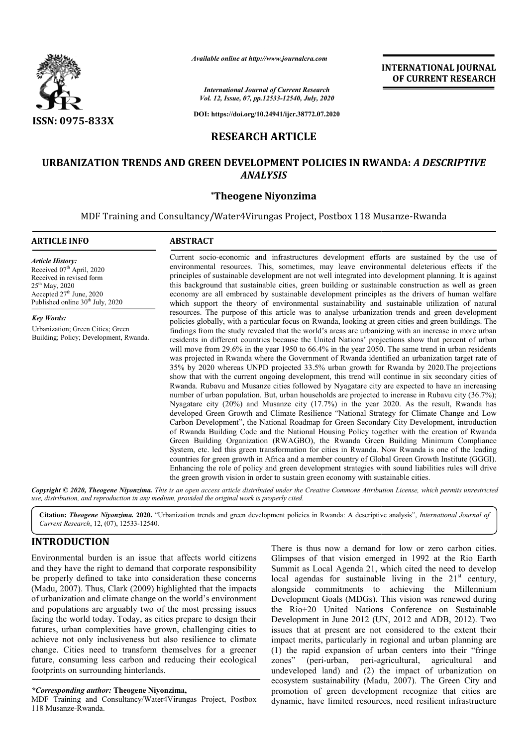

**INTERNATIONAL JOURNAL OF CURRENT RESEARCH**

*International Journal of Current Research Vol. 12, Issue, 07, pp.12533-12540, July, 2020*

**DOI: https://doi.org/10.24941/ijcr.38772.07.2020**

# **RESEARCH ARTICLE**

# **URBANIZATION TRENDS AND GREEN DEVELOPMENT POLICIES IN RWANDA: URBANIZATION RWANDA:** *A DESCRIPTIVE ANALYSIS*

## **\*Theogene Niyonzima**

MDF Training and Consultancy/Water4Virungas Project, Postbox 118 Musanze-Rwanda

#### **ARTICLE INFO ABSTRACT**

*Article History: Article History:* Received 07<sup>th</sup> April, 2020 Received in revised form Received in revised form  $25<sup>th</sup>$  May, 2020 Accepted 27<sup>th</sup> June, 2020 Published online 30<sup>th</sup> July, 2020

*Key Words:* Urbanization; Green Cities; Green Building; Policy; Development, Rwanda.

Current socio socio-economic and infrastructures development efforts are sustained by the use of environmental resources. This, sometimes, may leave environmental deleterious effects if the principles of sustainable development are not well integrated into development planning. It is against Current socio-economic and infrastructures development efforts are sustained by the use of environmental resources. This, sometimes, may leave environmental deleterious effects if the principles of sustainable development economy are all embraced by sustainable development principles as the drivers of human welfare which support the theory of environmental sustainability and sustainable utilization of natural resources. The purpose of this article was to analyse u urbanization trends and green development policies globally, with a particular focus on Rwanda, looking at green cities and green buildings. The findings from the study revealed that the world's areas are urbanizing with an increase in more urban residents in different countries because the United Nations' projections show that percent of urban will move from 29.6% in the year 1950 to 66.4% in the year 2050. The same trend in urban residents was projected in Rwanda where the Government of Rwanda identified an urbanization target rate of 35% by 2020 whereas UNPD projected 33.5% urban growth for Rwanda by 2020. The projections show that with the current ongoing development, this trend will continue in six secondary cities of Rwanda. Rubavu and Musanze cities followed by Nyagatare city are expected to have an increasing number of urban population. But, urban households are projected to increase in Nyagatare city  $(20%)$  and Musanze city  $(17.7%)$  in the year 2020. As the result, Rwanda has developed Green Growth and Climate Resilience "National Strategy for Climate Change and Low Carbon Development", the National Roadmap for Green Secondary City Development, introduction of Rwanda Building Code and the National Housing Policy together with the creation of Rwanda Green Building Organization (RWAGBO), the Rwanda Green Building Minimum Compliance Green Building Organization (RWAGBO), the Rwanda Green Building Minimum Compliance<br>System, etc. led this green transformation for cities in Rwanda. Now Rwanda is one of the leading countries for green growth in Africa and a member country of Global Green Growth Institute (GGGI) (GGGI). Enhancing the role of policy and green development strategies with sound liabilities rules will drive the green growth vision in order to sustain green economy with sustainable cities. the green growth vision in order to sustain green economy with sustainable cities. Available online at http://www.journalcra.com<br> *Vol. 12, Issue, 07, pp.12533-12540, July, 20*<br>
DOI: https://doi.org/10.24941/ijcr.38772.07.<br>
DOI: https://doi.org/10.24941/ijcr.38772.07.<br> **RESEARCH ARTICLE**<br> **SAND GREEN DEV** economy are all embraced by sustainable development principles as the drivers of human welfare<br>which support the theory of environmental sustainability and sustainable utilization of natural<br>resources. The purpose of this show that with the current ongoing development, this trend will continue in six secondary cities of Rwanda. Rubavu and Musanze cities followed by Nyagatare city are expected to have an increasing number of urban population INTERNATIONAL JOURNAL<br>
OF CURRENT RESEARCH<br>
OF CURRENT RESEARCH<br>
OF CURRENT RESEARCH<br>
OF CURRENT RESEARCH<br>
THE STREET AND AND ASSAULT AND AND ASSAULT AND MUSSAULT AND HERE TO AND HERE TO AND HERE THE CONSIDERATION OF THE I

Copyright © 2020, Theogene Niyonzima. This is an open access article distributed under the Creative Commons Attribution License, which permits unrestrictea *use, distribution, and reproduction in any medium, provided the original work is properly cited.*

Citation: Theogene Niyonzima. 2020. "Urbanization trends and green development policies in Rwanda: A descriptive analysis", *International Journal of Current Research*, 12, (07), 12533-12540.

# **INTRODUCTION**

Environmental burden is an issue that affects world citizens and they have the right to demand that corporate responsibility be properly defined to take into consideration these concerns (Madu, 2007). Thus, Clark (2009) highlighted that the impacts of urbanization and climate change on the world's environment and populations are arguably two of the most pressing issues facing the world today. Today, as cities prepare to design their futures, urban complexities have grown, challenging cities to achieve not only inclusiveness but also resilience to climate change. Cities need to transform themselves for a greener future, consuming less carbon and reducing their ecological footprints on surrounding hinterlands.

### *\*Corresponding author:* **Theogene Niyonzima,**

MDF Training and Consultancy/Water4Virungas Project, Postbox 118 Musanze-Rwanda.

There is thus now a demand for low or zero carbon cities.<br>
Immental burden is an issue that affects world citizens<br>
Unimpses of that vision emerged in 1992 at the Rio Earth<br>
by have the right to demand that corporate respo Glimpses of that vision emerged in 1992 at the Rio Earth Summit as Local Agenda 21, which cited the need to develop There is thus now a demand for low or zero carbon cities.<br>Glimpses of that vision emerged in 1992 at the Rio Earth<br>Summit as Local Agenda 21, which cited the need to develop<br>local agendas for sustainable living in the  $21$ alongside commitments to achieving the Millennium Development Goals (MDGs). This vision was renewed during the Rio+20 United Nations Conference on Sustainable Development Goals (MDGs). This vision was renewed during<br>the Rio+20 United Nations Conference on Sustainable<br>Development in June 2012 (UN, 2012 and ADB, 2012). Two issues that at present are not considered to the extent their impact merits, particularly in regional and urban planning are (1) the rapid expansion of urban centers into their "fringe zones" (peri-urban, peri-agricultural, agricultural and undeveloped land) and (2) the impact of urbanization on ecosystem sustainability (Madu, 2007). The Green City and promotion of green development recognize that cities are dynamic, have limited resources, need resilient infrastructure nat at present are not considered to the extent their merits, particularly in regional and urban planning are rapid expansion of urban centers into their "fringe (peri-urban, peri-agricultural, agricultural and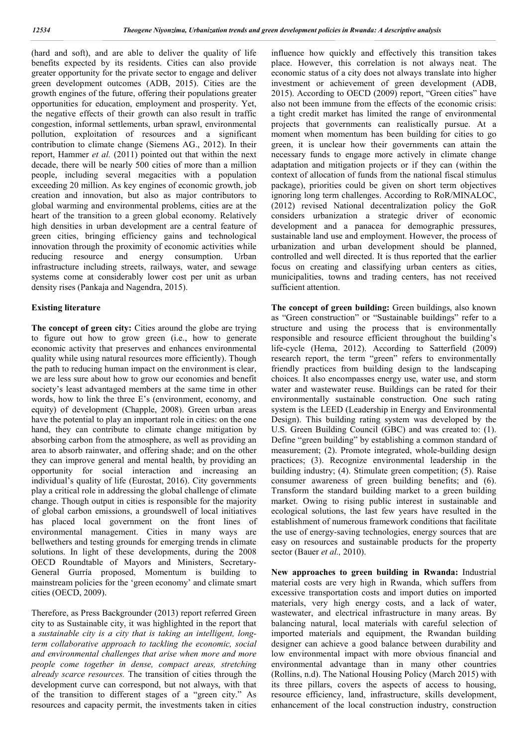(hard and soft), and are able to deliver the quality of life benefits expected by its residents. Cities can also provide greater opportunity for the private sector to engage and deliver green development outcomes (ADB, 2015). Cities are the growth engines of the future, offering their populations greater opportunities for education, employment and prosperity. Yet, the negative effects of their growth can also result in traffic congestion, informal settlements, urban sprawl, environmental pollution, exploitation of resources and a significant contribution to climate change (Siemens AG., 2012). In their report, Hammer *et al.* (2011) pointed out that within the next decade, there will be nearly 500 cities of more than a million people, including several megacities with a population exceeding 20 million. As key engines of economic growth, job creation and innovation, but also as major contributors to global warming and environmental problems, cities are at the heart of the transition to a green global economy. Relatively high densities in urban development are a central feature of green cities, bringing efficiency gains and technological innovation through the proximity of economic activities while reducing resource and energy consumption. Urban infrastructure including streets, railways, water, and sewage systems come at considerably lower cost per unit as urban density rises (Pankaja and Nagendra, 2015).

#### **Existing literature**

The concept of green city: Cities around the globe are trying to figure out how to grow green (i.e., how to generate economic activity that preserves and enhances environmental quality while using natural resources more efficiently). Though the path to reducing human impact on the environment is clear, we are less sure about how to grow our economies and benefit society's least advantaged members at the same time in other words, how to link the three E's (environment, economy, and equity) of development (Chapple, 2008). Green urban areas have the potential to play an important role in cities: on the one hand, they can contribute to climate change mitigation by absorbing carbon from the atmosphere, as well as providing an area to absorb rainwater, and offering shade; and on the other they can improve general and mental health, by providing an opportunity for social interaction and increasing an individual's quality of life (Eurostat, 2016). City governments play a critical role in addressing the global challenge of climate change. Though output in cities is responsible for the majority of global carbon emissions, a groundswell of local initiatives has placed local government on the front lines of environmental management. Cities in many ways are bellwethers and testing grounds for emerging trends in climate solutions. In light of these developments, during the 2008 OECD Roundtable of Mayors and Ministers, Secretary-General Gurría proposed, Momentum is building to mainstream policies for the 'green economy' and climate smart cities (OECD, 2009).

Therefore, as Press Backgrounder (2013) report referred Green city to as Sustainable city, it was highlighted in the report that a *sustainable city is a city that is taking an intelligent, longterm collaborative approach to tackling the economic, social and environmental challenges that arise when more and more people come together in dense, compact areas, stretching already scarce resources.* The transition of cities through the development curve can correspond, but not always, with that of the transition to different stages of a "green city." As resources and capacity permit, the investments taken in cities

influence how quickly and effectively this transition takes place. However, this correlation is not always neat. The economic status of a city does not always translate into higher investment or achievement of green development (ADB, 2015). According to OECD (2009) report, "Green cities" have also not been immune from the effects of the economic crisis: a tight credit market has limited the range of environmental projects that governments can realistically pursue. At a moment when momentum has been building for cities to go green, it is unclear how their governments can attain the necessary funds to engage more actively in climate change adaptation and mitigation projects or if they can (within the context of allocation of funds from the national fiscal stimulus package), priorities could be given on short term objectives ignoring long term challenges. According to RoR/MINALOC, (2012) revised National decentralization policy the GoR considers urbanization a strategic driver of economic development and a panacea for demographic pressures, sustainable land use and employment. However, the process of urbanization and urban development should be planned, controlled and well directed. It is thus reported that the earlier focus on creating and classifying urban centers as cities, municipalities, towns and trading centers, has not received sufficient attention.

**The concept of green building:** Green buildings, also known as "Green construction" or "Sustainable buildings" refer to a structure and using the process that is environmentally responsible and resource efficient throughout the building's life-cycle (Hema, 2012). According to Satterfield (2009) research report, the term "green" refers to environmentally friendly practices from building design to the landscaping choices. It also encompasses energy use, water use, and storm water and wastewater reuse. Buildings can be rated for their environmentally sustainable construction. One such rating system is the LEED (Leadership in Energy and Environmental Design). This building rating system was developed by the U.S. Green Building Council (GBC) and was created to: (1). Define "green building" by establishing a common standard of measurement; (2). Promote integrated, whole-building design practices; (3). Recognize environmental leadership in the building industry; (4). Stimulate green competition; (5). Raise consumer awareness of green building benefits; and (6). Transform the standard building market to a green building market. Owing to rising public interest in sustainable and ecological solutions, the last few years have resulted in the establishment of numerous framework conditions that facilitate the use of energy-saving technologies, energy sources that are easy on resources and sustainable products for the property sector (Bauer *et al.,* 2010).

**New approaches to green building in Rwanda:** Industrial material costs are very high in Rwanda, which suffers from excessive transportation costs and import duties on imported materials, very high energy costs, and a lack of water, wastewater, and electrical infrastructure in many areas. By balancing natural, local materials with careful selection of imported materials and equipment, the Rwandan building designer can achieve a good balance between durability and low environmental impact with more obvious financial and environmental advantage than in many other countries (Rollins, n.d). The National Housing Policy (March 2015) with its three pillars, covers the aspects of access to housing, resource efficiency, land, infrastructure, skills development, enhancement of the local construction industry, construction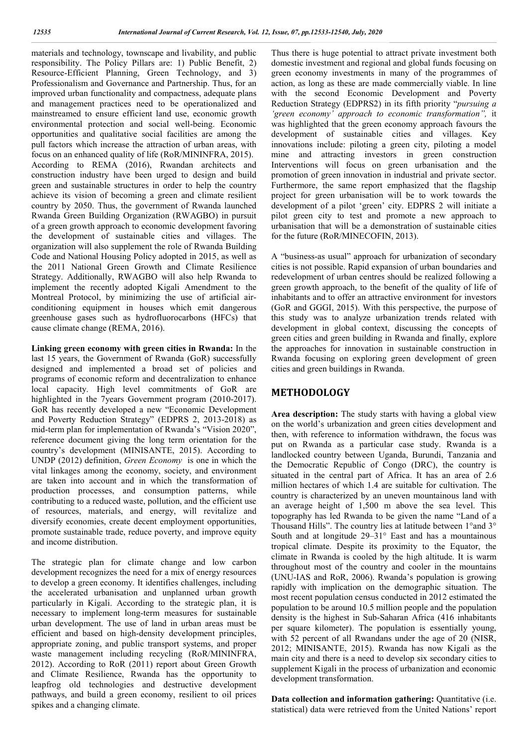materials and technology, townscape and livability, and public responsibility. The Policy Pillars are: 1) Public Benefit, 2) Resource-Efficient Planning, Green Technology, and 3) Professionalism and Governance and Partnership. Thus, for an improved urban functionality and compactness, adequate plans and management practices need to be operationalized and mainstreamed to ensure efficient land use, economic growth environmental protection and social well-being. Economic opportunities and qualitative social facilities are among the pull factors which increase the attraction of urban areas, with focus on an enhanced quality of life (RoR/MININFRA, 2015). According to REMA (2016), Rwandan architects and construction industry have been urged to design and build green and sustainable structures in order to help the country achieve its vision of becoming a green and climate resilient country by 2050. Thus, the government of Rwanda launched Rwanda Green Building Organization (RWAGBO) in pursuit of a green growth approach to economic development favoring the development of sustainable cities and villages. The organization will also supplement the role of Rwanda Building Code and National Housing Policy adopted in 2015, as well as the 2011 National Green Growth and Climate Resilience Strategy. Additionally, RWAGBO will also help Rwanda to implement the recently adopted Kigali Amendment to the Montreal Protocol, by minimizing the use of artificial airconditioning equipment in houses which emit dangerous greenhouse gases such as hydrofluorocarbons (HFCs) that cause climate change (REMA, 2016).

**Linking green economy with green cities in Rwanda:** In the last 15 years, the Government of Rwanda (GoR) successfully designed and implemented a broad set of policies and programs of economic reform and decentralization to enhance local capacity. High level commitments of GoR are highlighted in the 7years Government program (2010-2017). GoR has recently developed a new "Economic Development and Poverty Reduction Strategy" (EDPRS 2, 2013-2018) as mid-term plan for implementation of Rwanda's "Vision 2020", reference document giving the long term orientation for the country's development (MINISANTE, 2015). According to UNDP (2012) definition, *Green Economy* is one in which the vital linkages among the economy, society, and environment are taken into account and in which the transformation of production processes, and consumption patterns, while contributing to a reduced waste, pollution, and the efficient use of resources, materials, and energy, will revitalize and diversify economies, create decent employment opportunities, promote sustainable trade, reduce poverty, and improve equity and income distribution.

The strategic plan for climate change and low carbon development recognizes the need for a mix of energy resources to develop a green economy. It identifies challenges, including the accelerated urbanisation and unplanned urban growth particularly in Kigali. According to the strategic plan, it is necessary to implement long-term measures for sustainable urban development. The use of land in urban areas must be efficient and based on high-density development principles, appropriate zoning, and public transport systems, and proper waste management including recycling (RoR/MININFRA, 2012). According to RoR (2011) report about Green Growth and Climate Resilience, Rwanda has the opportunity to leapfrog old technologies and destructive development pathways, and build a green economy, resilient to oil prices spikes and a changing climate.

Thus there is huge potential to attract private investment both domestic investment and regional and global funds focusing on green economy investments in many of the programmes of action, as long as these are made commercially viable. In line with the second Economic Development and Poverty Reduction Strategy (EDPRS2) in its fifth priority "*pursuing a 'green economy' approach to economic transformation",* it was highlighted that the green economy approach favours the development of sustainable cities and villages. Key innovations include: piloting a green city, piloting a model mine and attracting investors in green construction Interventions will focus on green urbanisation and the promotion of green innovation in industrial and private sector. Furthermore, the same report emphasized that the flagship project for green urbanisation will be to work towards the development of a pilot 'green' city. EDPRS 2 will initiate a pilot green city to test and promote a new approach to urbanisation that will be a demonstration of sustainable cities for the future (RoR/MINECOFIN, 2013).

A "business-as usual" approach for urbanization of secondary cities is not possible. Rapid expansion of urban boundaries and redevelopment of urban centres should be realized following a green growth approach, to the benefit of the quality of life of inhabitants and to offer an attractive environment for investors (GoR and GGGI, 2015). With this perspective, the purpose of this study was to analyze urbanization trends related with development in global context, discussing the concepts of green cities and green building in Rwanda and finally, explore the approaches for innovation in sustainable construction in Rwanda focusing on exploring green development of green cities and green buildings in Rwanda.

# **METHODOLOGY**

**Area description:** The study starts with having a global view on the world's urbanization and green cities development and then, with reference to information withdrawn, the focus was put on Rwanda as a particular case study. Rwanda is a landlocked country between Uganda, Burundi, Tanzania and the Democratic Republic of Congo (DRC), the country is situated in the central part of Africa. It has an area of 2.6 million hectares of which 1.4 are suitable for cultivation. The country is characterized by an uneven mountainous land with an average height of 1,500 m above the sea level. This topography has led Rwanda to be given the name "Land of a Thousand Hills". The country lies at latitude between 1°and 3° South and at longitude 29–31° East and has a mountainous tropical climate. Despite its proximity to the Equator, the climate in Rwanda is cooled by the high altitude. It is warm throughout most of the country and cooler in the mountains (UNU-IAS and RoR, 2006). Rwanda's population is growing rapidly with implication on the demographic situation. The most recent population census conducted in 2012 estimated the population to be around 10.5 million people and the population density is the highest in Sub-Saharan Africa (416 inhabitants per square kilometer). The population is essentially young, with 52 percent of all Rwandans under the age of 20 (NISR, 2012; MINISANTE, 2015). Rwanda has now Kigali as the main city and there is a need to develop six secondary cities to supplement Kigali in the process of urbanization and economic development transformation.

**Data collection and information gathering:** Quantitative (i.e. statistical) data were retrieved from the United Nations' report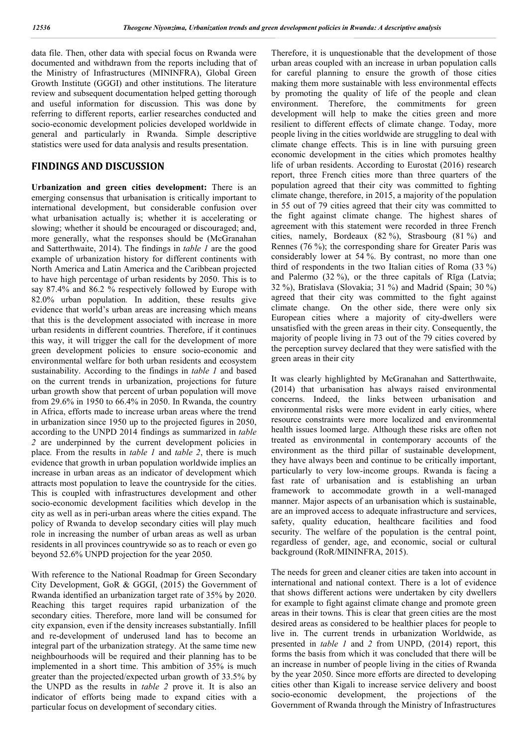data file. Then, other data with special focus on Rwanda were documented and withdrawn from the reports including that of the Ministry of Infrastructures (MININFRA), Global Green Growth Institute (GGGI) and other institutions. The literature review and subsequent documentation helped getting thorough and useful information for discussion. This was done by referring to different reports, earlier researches conducted and socio-economic development policies developed worldwide in general and particularly in Rwanda. Simple descriptive statistics were used for data analysis and results presentation.

## **FINDINGS AND DISCUSSION**

**Urbanization and green cities development:** There is an emerging consensus that urbanisation is critically important to international development, but considerable confusion over what urbanisation actually is; whether it is accelerating or slowing; whether it should be encouraged or discouraged; and, more generally, what the responses should be (McGranahan and Satterthwaite, 2014). The findings in *table 1* are the good example of urbanization history for different continents with North America and Latin America and the Caribbean projected to have high percentage of urban residents by 2050. This is to say 87.4% and 86.2 % respectively followed by Europe with 82.0% urban population*.* In addition, these results give evidence that world's urban areas are increasing which means that this is the development associated with increase in more urban residents in different countries. Therefore, if it continues this way, it will trigger the call for the development of more green development policies to ensure socio-economic and environmental welfare for both urban residents and ecosystem sustainability. According to the findings in *table 1* and based on the current trends in urbanization, projections for future urban growth show that percent of urban population will move from 29.6% in 1950 to 66.4% in 2050. In Rwanda, the country in Africa, efforts made to increase urban areas where the trend in urbanization since 1950 up to the projected figures in 2050, according to the UNPD 2014 findings as summarized in *table 2* are underpinned by the current development policies in place*.* From the results in *table 1* and *table 2*, there is much evidence that growth in urban population worldwide implies an increase in urban areas as an indicator of development which attracts most population to leave the countryside for the cities. This is coupled with infrastructures development and other socio-economic development facilities which develop in the city as well as in peri-urban areas where the cities expand. The policy of Rwanda to develop secondary cities will play much role in increasing the number of urban areas as well as urban residents in all provinces countrywide so as to reach or even go beyond 52.6% UNPD projection for the year 2050.

With reference to the National Roadmap for Green Secondary City Development, GoR & GGGI, (2015) the Government of Rwanda identified an urbanization target rate of 35% by 2020. Reaching this target requires rapid urbanization of the secondary cities. Therefore, more land will be consumed for city expansion, even if the density increases substantially. Infill and re-development of underused land has to become an integral part of the urbanization strategy. At the same time new neighbourhoods will be required and their planning has to be implemented in a short time. This ambition of 35% is much greater than the projected/expected urban growth of 33.5% by the UNPD as the results in *table 2* prove it. It is also an indicator of efforts being made to expand cities with a particular focus on development of secondary cities.

Therefore, it is unquestionable that the development of those urban areas coupled with an increase in urban population calls for careful planning to ensure the growth of those cities making them more sustainable with less environmental effects by promoting the quality of life of the people and clean environment. Therefore, the commitments for green development will help to make the cities green and more resilient to different effects of climate change. Today, more people living in the cities worldwide are struggling to deal with climate change effects. This is in line with pursuing green economic development in the cities which promotes healthy life of urban residents. According to Eurostat (2016) research report, three French cities more than three quarters of the population agreed that their city was committed to fighting climate change, therefore, in 2015, a majority of the population in 55 out of 79 cities agreed that their city was committed to the fight against climate change. The highest shares of agreement with this statement were recorded in three French cities, namely, Bordeaux (82 %), Strasbourg (81 %) and Rennes (76 %); the corresponding share for Greater Paris was considerably lower at 54 %. By contrast, no more than one third of respondents in the two Italian cities of Roma (33 %) and Palermo (32 %), or the three capitals of Rīga (Latvia; 32 %), Bratislava (Slovakia; 31 %) and Madrid (Spain; 30 %) agreed that their city was committed to the fight against climate change. On the other side, there were only six European cities where a majority of city-dwellers were unsatisfied with the green areas in their city. Consequently, the majority of people living in 73 out of the 79 cities covered by the perception survey declared that they were satisfied with the green areas in their city

It was clearly highlighted by McGranahan and Satterthwaite, (2014) that urbanisation has always raised environmental concerns. Indeed, the links between urbanisation and environmental risks were more evident in early cities, where resource constraints were more localized and environmental health issues loomed large. Although these risks are often not treated as environmental in contemporary accounts of the environment as the third pillar of sustainable development, they have always been and continue to be critically important, particularly to very low-income groups. Rwanda is facing a fast rate of urbanisation and is establishing an urban framework to accommodate growth in a well-managed manner. Major aspects of an urbanisation which is sustainable, are an improved access to adequate infrastructure and services, safety, quality education, healthcare facilities and food security. The welfare of the population is the central point, regardless of gender, age, and economic, social or cultural background (RoR/MININFRA, 2015).

The needs for green and cleaner cities are taken into account in international and national context. There is a lot of evidence that shows different actions were undertaken by city dwellers for example to fight against climate change and promote green areas in their towns. This is clear that green cities are the most desired areas as considered to be healthier places for people to live in. The current trends in urbanization Worldwide, as presented in *table 1* and *2* from UNPD, (2014) report, this forms the basis from which it was concluded that there will be an increase in number of people living in the cities of Rwanda by the year 2050. Since more efforts are directed to developing cities other than Kigali to increase service delivery and boost socio-economic development, the projections of the Government of Rwanda through the Ministry of Infrastructures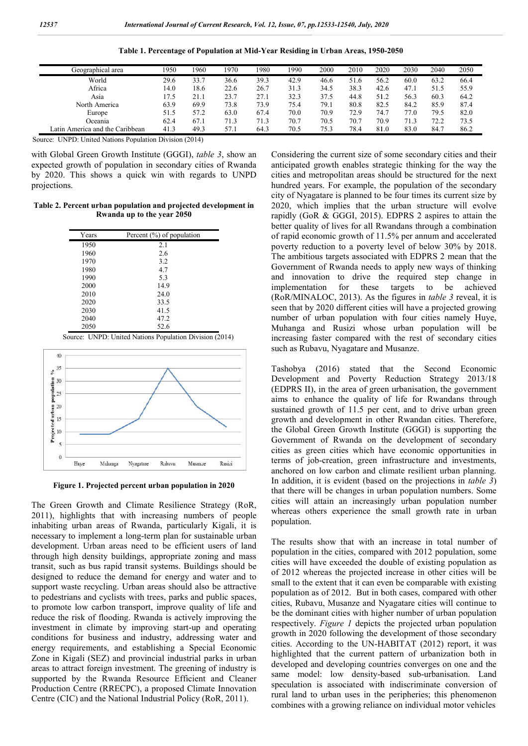| Geographical area               | 1950 | 960  | 1970 | 1980 | 1990 | 2000 | 2010 | 2020 | 2030 | 2040 | 2050 |
|---------------------------------|------|------|------|------|------|------|------|------|------|------|------|
| World                           | 29.6 | 33.7 | 36.6 | 39.3 | 42.9 | 46.6 | 51.6 | 56.2 | 60.0 | 63.2 | 66.4 |
| Africa                          | 14.0 | 18.6 | 22.6 | 26.7 | 31.3 | 34.5 | 38.3 | 42.6 | 47.1 | 51.5 | 55.9 |
| Asia                            | .7.5 | 21.1 | 23.7 | 27.1 | 32.3 | 37.5 | 44.8 | 51.2 | 56.3 | 60.3 | 64.2 |
| North America                   | 63.9 | 69.9 | 73.8 | 73.9 | 75.4 | 79.1 | 80.8 | 82.5 | 84.2 | 85.9 | 87.4 |
| Europe                          | 51.5 | 57.2 | 63.0 | 67.4 | 70.0 | 70.9 | 72.9 | 74.7 | 77.0 | 79.5 | 82.0 |
| Oceania                         | 62.4 | 67.1 | 71.3 | 71.3 | 70.7 | 70.5 | 70.7 | 70.9 | 71.3 | 72.2 | 73.5 |
| Latin America and the Caribbean | 41.3 | 49.3 | 57.1 | 64.3 | 70.5 | 75.3 | 78.4 | 81.0 | 83.0 | 84.7 | 86.2 |

**Table 1. Percentage of Population at Mid Mid-Year Residing in Urban Areas, 1950**

Source: UNPD: United Nations Population Division (2014)

with Global Green Growth Institute (GGGI), *table 3*, show an expected growth of population in secondary cities of Rwanda by 2020. This shows a quick win with regards to UNPD projections.

**Table 2. Percent urban population and projected development in Rwanda up to the year 2050**

| Years | Percent $(\%)$ of population |
|-------|------------------------------|
| 1950  | 2.1                          |
| 1960  | 2.6                          |
| 1970  | 3.2                          |
| 1980  | 4.7                          |
| 1990  | 5.3                          |
| 2000  | 14.9                         |
| 2010  | 24.0                         |
| 2020  | 33.5                         |
| 2030  | 41.5                         |
| 2040  | 47.2                         |
| 2050  | 52.6                         |



Source: UNPD: United Nations Population Division (2014)

**Figure 1. Projected percent urban population in 2020**

The Green Growth and Climate Resilience Strategy (RoR, 2011), highlights that with increasing numbers of people inhabiting urban areas of Rwanda, particularly Kigali, it is necessary to implement a long-term plan for sustainable urban development. Urban areas need to be efficient users of land through high density buildings, appropriate zoning and mass transit, such as bus rapid transit systems. Buildings should be designed to reduce the demand for energy and water and to support waste recycling. Urban areas should also be attractive to pedestrians and cyclists with trees, parks and public spaces, to promote low carbon transport, improve quality of life and reduce the risk of flooding. Rwanda is actively improving the reduce the risk of flooding. Rwanda is actively improving the investment in climate by improving start-up and operating conditions for business and industry, addressing water and energy requirements, and establishing a Special Economic Zone in Kigali (SEZ) and provincial industrial parks in urban areas to attract foreign investment. The greening of industry is supported by the Rwanda Resource Efficient and Cleaner Production Centre (RRECPC), a proposed Climate Innovation Centre (CIC) and the National Industrial Policy (RoR, 2011).

Considering the current size of some secondary cities and their anticipated growth enables strategic thinking for the way the cities and metropolitan areas should be structured for the next Considering the current size of some secondary cities and their anticipated growth enables strategic thinking for the way the cities and metropolitan areas should be structured for the next hundred years. For example, the city of Nyagatare is planned to be four times its current size by 2020, which implies that the urban structure will evolve 2020, which implies that the urban structure will evolve rapidly (GoR & GGGI, 2015). EDPRS 2 aspires to attain the better quality of lives for all Rwandans through a combination of rapid economic growth of 11.5% per annum and accelerated poverty reduction to a poverty level of below 30% by 2018. The ambitious targets associated with EDPRS 2 mean that the Government of Rwanda needs to apply new ways of thinking and innovation to drive the required step change in implementation for these targets to be achieved of rapid economic growth of 11.5% per annum and accelerated poverty reduction to a poverty level of below 30% by 2018. The ambitious targets associated with EDPRS 2 mean that the Government of Rwanda needs to apply new way seen that by 2020 different cities will have a projected growing seen that by 2020 different cities will have a projected growing<br>number of urban population with four cities namely Huye, Muhanga and Rusizi whose urban population will be increasing faster compared with the rest of secondary cities such as Rubavu, Nyagatare and Musanze. Nose urban population will be<br>I with the rest of secondary cities<br>and Musanze.<br>Second Economic<br>ty Reduction Strategy 2013/18 conversion to **Year 1950-2050**

Tashobya (2016) stated that the Second Economic Development and Poverty Reduction Strategy 2013/18 (EDPRS II), in the area of green urbanisation, the government aims to enhance the quality of life for Rwandans through sustained growth of 11.5 per cent, and to drive urban green growth and development in other Rwandan cities. Therefore, the Global Green Growth Institute (GGGI) is supporting the Government of Rwanda on the development of secondary cities as green cities which have economic opportunities in terms of job-creation, green infrastructure and investments, anchored on low carbon and climate resilient urban planning. In addition, it is evident (based on the projections in *table 3*) that there will be changes in urban population numbers. Some cities will attain an increasingly urban population number whereas others experience the small growth rate in urban population. (EDPRS II), in the area of green urbanisation, the governmen<br>aims to enhance the quality of life for Rwandans througl<br>sustained growth of 11.5 per cent, and to drive urban green<br>growth and development in other Rwandan citi will be changes in urban population numbers. Some<br>Il attain an increasingly urban population number<br>others experience the small growth rate in urban

The results show that with an increase in total number of population in the cities, compared with 2012 population, some cities will have exceeded the double of existing population as The results show that with an increase in total number of population in the cities, compared with 2012 population, some cities will have exceeded the double of existing population as of 2012 whereas the projected increase small to the extent that it can even be comparable with existing population as of 2012. But in both cases, compared with other cities, Rubavu, Musanze and Nyagatare cities will continue to be the dominant cities with higher number of urban population respectively. *Figure 1* depicts the projected urban population growth in 2020 following the development of those secondary cities. According to the UN-HABITAT (2012) report, it was highlighted that the current pattern of urbanization both in developed and developing countries converges on one and the same model: low density-based sub-urbanisation. Land same model: low density-based sub-urbanisation. Land speculation is associated with indiscriminate conversion of rural land to urban uses in the peripheries; this phenomenon combines with a growing reliance on individual motor vehicles to the extent that it can even be comparable with existing<br>ation as of 2012. But in both cases, compared with other<br>Rubavu, Musanze and Nyagatare cities will continue to<br>dominant cities with higher number of urban populati between the development of those secondary<br>to the UN-HABITAT (2012) report, it was<br>the current pattern of urbanization both in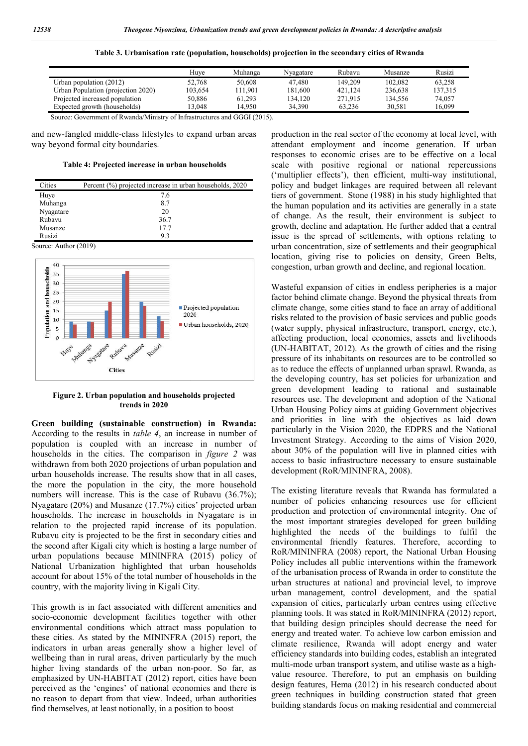| Table 3. Urbanisation rate (population, households) projection in the secondary cities of Rwanda |  |  |  |  |  |  |  |
|--------------------------------------------------------------------------------------------------|--|--|--|--|--|--|--|
|--------------------------------------------------------------------------------------------------|--|--|--|--|--|--|--|

|                                    | Huve    | Muhanga | Nvagatare | Rubavu  | Musanze | Rusizi  |
|------------------------------------|---------|---------|-----------|---------|---------|---------|
| Urban population $(2012)$          | 52,768  | 50,608  | 47,480    | 149.209 | 102,082 | 63.258  |
| Urban Population (projection 2020) | 103.654 | 11.901  | 181.600   | 421.124 | 236.638 | 137.315 |
| Projected increased population     | 50,886  | 61.293  | 134.120   | 271.915 | 134.556 | 74,057  |
| Expected growth (households)       | 3.048   | 14.950  | 34,390    | 63.236  | 30.581  | 16.099  |

Source: Government of Rwanda/Ministry of Infrastructures and GGGI (2015).

and new-fangled middle-class lifestyles to expand urban areas way beyond formal city boundaries.

**Table 4: Projected increase in urban households**

| Cities    | Percent (%) projected increase in urban households, 2020 |
|-----------|----------------------------------------------------------|
| Huye      | 7.6                                                      |
| Muhanga   | 8.7                                                      |
| Nyagatare | 20                                                       |
| Rubavu    | 36.7                                                     |
| Musanze   | 17.7                                                     |
| Rusizi    | 9.3                                                      |

Source: Author (2019)



**Figure 2. Urban population and households projected trends in 2020**

**Green building (sustainable construction) in Rwanda:**  According to the results in *table 4*, an increase in number of population is coupled with an increase in number of households in the cities. The comparison in *figure 2* was withdrawn from both 2020 projections of urban population and urban households increase. The results show that in all cases, the more the population in the city, the more household numbers will increase. This is the case of Rubavu (36.7%); Nyagatare (20%) and Musanze (17.7%) cities' projected urban households. The increase in households in Nyagatare is in relation to the projected rapid increase of its population. Rubavu city is projected to be the first in secondary cities and the second after Kigali city which is hosting a large number of households. The increase in households in Nyagatare is in relation to the projected rapid increase of its population.<br>Rubavu city is projected to be the first in secondary cities and the second after Kigali city which is h National Urbanization highlighted that urban households account for about 15% of the total number of households in the country, with the majority living in Kigali City.

This growth is in fact associated with different amenities and socio-economic development facilities together with other environmental conditions which attract mass population to these cities. As stated by the MININFRA (2015) report, the indicators in urban areas generally show a higher level of wellbeing than in rural areas, driven particularly by the much higher living standards of the urban non-poor. So far, as emphasized by UN-HABITAT (2012) report, cities have been perceived as the 'engines' of national economies and there is no reason to depart from that view. Indeed, urban a find themselves, at least notionally, in a position to boost c development facilities together with other<br>conditions which attract mass population to<br>s stated by the MININFRA (2015) report, the<br>urban areas generally show a higher level of<br>in rural areas, driven particularly by the m HABITAT (2012) report, cities have been<br>ngines' of national economies and there is<br>from that view. Indeed, urban authorities production in the real sector of the economy at local level, with attendant employment and income generation. If urban responses to economic crises are to be effective on a loc scale with positive regional or national repercussions scale with positive regional or national repercussions ('multiplier effects'), then efficient, multi-way institutional, policy and budget linkages are required between all relevant tiers of government. Stone (1988) in his study highlighted that the human population and its activities are generally in a state of change. As the result, their environment is subject to growth, decline and adaptation. He further added that a central issue is the spread of settlements, with options relating to urban concentration, size of settlements and their geographical location, giving rise to policies on density, Green Belts, congestion, urban growth and decline, and regional location. the real sector of the economy at local level, with<br>ployment and income generation. If urban<br>economic crises are to be effective on a local policy and budget linkages are required between all relevant<br>tiers of government. Stone (1988) in his study highlighted that<br>the human population and its activities are generally in a state<br>of change. As the result, their

Wasteful expansion of cities in endless peripheries is a major factor behind climate change. Beyond the physical threats from climate change, some cities stand to face an array of additional risks related to the provision of basic services and public goods (water supply, physical infrastructure, transport, energy, etc.), affecting production, local economies, assets and livelihoods (UN-HABITAT, 2012). As the growth of cities and the rising pressure of its inhabitants on resources are to be controlled so as to reduce the effects of unplanned urban sprawl. Rwanda, as the developing country, has set policies for urbanization and green development leading to rational and sustainable resources use. The development and adoption of the National Urban Housing Policy aims at guiding Government objectives and priorities in line with the objectives as laid down particularly in the Vision 2020, the EDPRS and the National Investment Strategy. According to the aims of Vision 2020, about 30% of the population will live in planned cities with access to basic infrastructure necessary to ensure sustainable development (RoR/MININFRA, 2008). eful expansion of cities in endless peripheries is a major<br>r behind climate change. Beyond the physical threats from<br>te change, some cities stand to face an array of additional<br>related to the provision of basic services an particularly in the Vision 2020, the EDPRS and the National Investment Strategy. According to the aims of Vision 2020, about 30% of the population will live in planned cities with access to basic infrastructure necessary t

The existing literature reveals that Rwanda has formulated a number of policies enhancing resources use for efficient production and protection of environmental integrity. One of the most important strategies developed for green building highlighted the needs of the buildings to fulfil the environmental friendly features. Therefore, according to RoR/MININFRA (2008) report, the National Urban Housing Policy includes all public interventions within the framework of the urbanisation process of Rwanda in order to constitute the urban structures at national and provincial level, to improve urban management, control development, and the spatial expansion of cities, particularly urban centres using effective planning tools. It was stated in RoR/MININFRA (2012) report, that building design principles should decrease the need for energy and treated water. To achieve low carbon emission and climate resilience, Rwanda will adopt energy and water efficiency standards into building codes, establish an integrated multi-mode urban transport system, and utilise waste as a highvalue resource. Therefore, to put an emphasis on building design features, Hema (2012) in his research conducted about green techniques in building construction stated that green building standards focus on making residential and commercial environmental friendly features. Therefore, according to RoR/MININFRA (2008) report, the National Urban Housing Policy includes all public interventions within the framework of the urbanisation process of Rwanda in order t resource. Therefore, to put an emphasis on building features, Hema (2012) in his research conducted about techniques in building construction stated that green in the secondary cities of Rwanda<br>
respectively. Musanze<br>
Rubayn Musanze<br>
19920 01228 63.258<br>
1912113 121.13<br>
191216 121.18<br>
191315 11.24<br>
191315 11.4356 11.87.618<br>
191415 11.4356 11.87.618<br>
in the real sector of the econo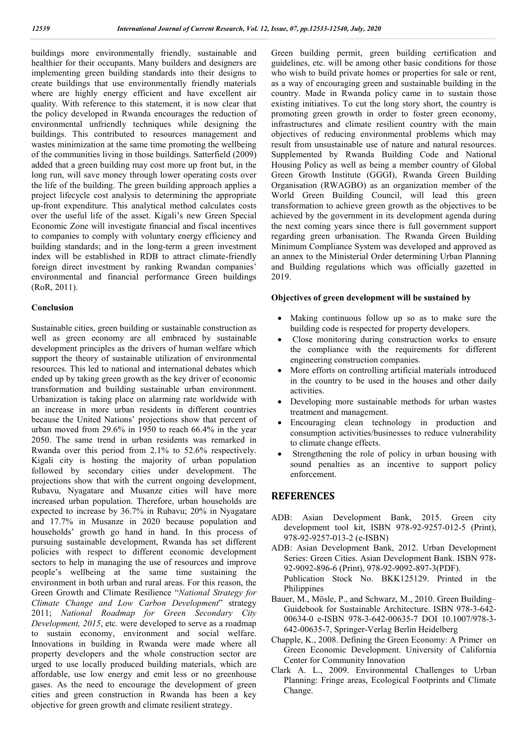buildings more environmentally friendly, sustainable and healthier for their occupants. Many builders and designers are implementing green building standards into their designs to create buildings that use environmentally friendly materials where are highly energy efficient and have excellent air quality. With reference to this statement, it is now clear that the policy developed in Rwanda encourages the reduction of environmental unfriendly techniques while designing the buildings. This contributed to resources management and wastes minimization at the same time promoting the wellbeing of the communities living in those buildings. Satterfield (2009) added that a green building may cost more up front but, in the long run, will save money through lower operating costs over the life of the building. The green building approach applies a project lifecycle cost analysis to determining the appropriate up-front expenditure. This analytical method calculates costs over the useful life of the asset. Kigali's new Green Special Economic Zone will investigate financial and fiscal incentives to companies to comply with voluntary energy efficiency and building standards; and in the long-term a green investment index will be established in RDB to attract climate-friendly foreign direct investment by ranking Rwandan companies' environmental and financial performance Green buildings (RoR, 2011).

#### **Conclusion**

Sustainable cities, green building or sustainable construction as well as green economy are all embraced by sustainable development principles as the drivers of human welfare which support the theory of sustainable utilization of environmental resources. This led to national and international debates which ended up by taking green growth as the key driver of economic transformation and building sustainable urban environment. Urbanization is taking place on alarming rate worldwide with an increase in more urban residents in different countries because the United Nations' projections show that percent of urban moved from 29.6% in 1950 to reach 66.4% in the year 2050. The same trend in urban residents was remarked in Rwanda over this period from 2.1% to 52.6% respectively. Kigali city is hosting the majority of urban population followed by secondary cities under development. The projections show that with the current ongoing development, Rubavu, Nyagatare and Musanze cities will have more increased urban population. Therefore, urban households are expected to increase by 36.7% in Rubavu; 20% in Nyagatare and 17.7% in Musanze in 2020 because population and households' growth go hand in hand. In this process of pursuing sustainable development, Rwanda has set different policies with respect to different economic development sectors to help in managing the use of resources and improve people's wellbeing at the same time sustaining the environment in both urban and rural areas. For this reason, the Green Growth and Climate Resilience "*National Strategy for Climate Change and Low Carbon Development*" strategy 2011; *National Roadmap for Green Secondary City Development, 2015*, etc. were developed to serve as a roadmap to sustain economy, environment and social welfare. Innovations in building in Rwanda were made where all property developers and the whole construction sector are urged to use locally produced building materials, which are affordable, use low energy and emit less or no greenhouse gases. As the need to encourage the development of green cities and green construction in Rwanda has been a key objective for green growth and climate resilient strategy.

Green building permit, green building certification and guidelines, etc. will be among other basic conditions for those who wish to build private homes or properties for sale or rent, as a way of encouraging green and sustainable building in the country. Made in Rwanda policy came in to sustain those existing initiatives. To cut the long story short, the country is promoting green growth in order to foster green economy, infrastructures and climate resilient country with the main objectives of reducing environmental problems which may result from unsustainable use of nature and natural resources. Supplemented by Rwanda Building Code and National Housing Policy as well as being a member country of Global Green Growth Institute (GGGI), Rwanda Green Building Organisation (RWAGBO) as an organization member of the World Green Building Council, will lead this green transformation to achieve green growth as the objectives to be achieved by the government in its development agenda during the next coming years since there is full government support regarding green urbanisation. The Rwanda Green Building Minimum Compliance System was developed and approved as an annex to the Ministerial Order determining Urban Planning and Building regulations which was officially gazetted in 2019.

### **Objectives of green development will be sustained by**

- Making continuous follow up so as to make sure the building code is respected for property developers.
- Close monitoring during construction works to ensure the compliance with the requirements for different engineering construction companies.
- More efforts on controlling artificial materials introduced in the country to be used in the houses and other daily activities.
- Developing more sustainable methods for urban wastes treatment and management.
- Encouraging clean technology in production and consumption activities/businesses to reduce vulnerability to climate change effects.
- Strengthening the role of policy in urban housing with sound penalties as an incentive to support policy enforcement.

## **REFERENCES**

- ADB: Asian Development Bank, 2015. Green city development tool kit, ISBN 978-92-9257-012-5 (Print), 978-92-9257-013-2 (e-ISBN)
- ADB: Asian Development Bank, 2012. Urban Development Series: Green Cities. Asian Development Bank. ISBN 978- 92-9092-896-6 (Print), 978-92-9092-897-3(PDF). Publication Stock No. BKK125129. Printed in the **Philippines**
- Bauer, M., Mösle, P., and Schwarz, M., 2010. Green Building– Guidebook for Sustainable Architecture. ISBN 978-3-642- 00634-0 e-ISBN 978-3-642-00635-7 DOI 10.1007/978-3- 642-00635-7, Springer-Verlag Berlin Heidelberg
- Chapple, K., 2008. Defining the Green Economy: A Primer on Green Economic Development. University of California Center for Community Innovation
- Clark A. L., 2009. Environmental Challenges to Urban Planning: Fringe areas, Ecological Footprints and Climate Change.